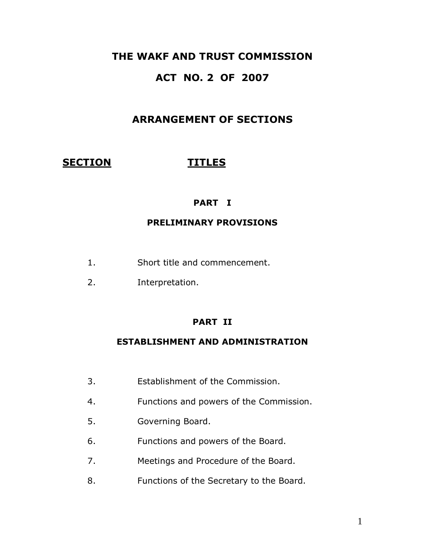# **THE WAKF AND TRUST COMMISSION**

## **ACT NO. 2 OF 2007**

## **ARRANGEMENT OF SECTIONS**

## **SECTION TITLES**

## **PART I**

## **PRELIMINARY PROVISIONS**

- 1. Short title and commencement.
- 2. Interpretation.

## **PART II**

## **ESTABLISHMENT AND ADMINISTRATION**

- 3. Establishment of the Commission.
- 4. Functions and powers of the Commission.
- 5. Governing Board.
- 6. Functions and powers of the Board.
- 7. Meetings and Procedure of the Board.
- 8. Functions of the Secretary to the Board.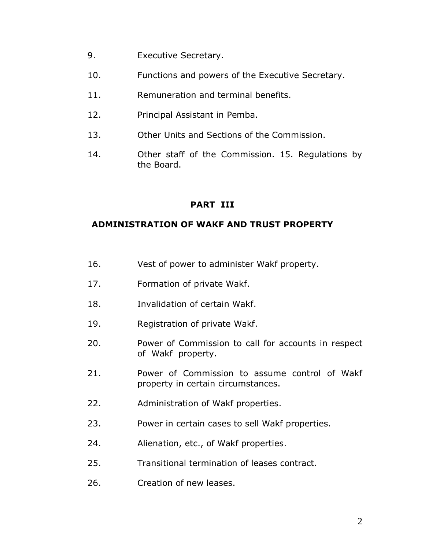- 9. Executive Secretary.
- 10. Functions and powers of the Executive Secretary.
- 11. Remuneration and terminal benefits.
- 12. Principal Assistant in Pemba.
- 13. Other Units and Sections of the Commission.
- 14. Other staff of the Commission. 15. Regulations by the Board.

#### **PART III**

#### **ADMINISTRATION OF WAKF AND TRUST PROPERTY**

- 16. Vest of power to administer Wakf property.
- 17. Formation of private Wakf.
- 18. Invalidation of certain Wakf.
- 19. Registration of private Wakf.
- 20. Power of Commission to call for accounts in respect of Wakf property.
- 21. Power of Commission to assume control of Wakf property in certain circumstances.
- 22. Administration of Wakf properties.
- 23. Power in certain cases to sell Wakf properties.
- 24. Alienation, etc., of Wakf properties.
- 25. Transitional termination of leases contract.
- 26. Creation of new leases.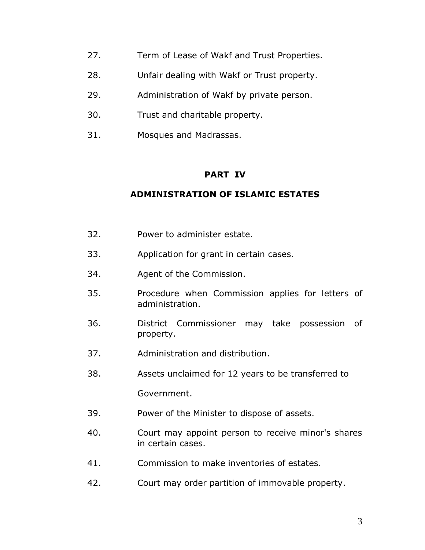- 27. Term of Lease of Wakf and Trust Properties.
- 28. Unfair dealing with Wakf or Trust property.
- 29. Administration of Wakf by private person.
- 30. Trust and charitable property.
- 31. Mosques and Madrassas.

#### **PART IV**

#### **ADMINISTRATION OF ISLAMIC ESTATES**

- 32. Power to administer estate.
- 33. Application for grant in certain cases.
- 34. Agent of the Commission.
- 35. Procedure when Commission applies for letters of administration.
- 36. District Commissioner may take possession of property.
- 37. Administration and distribution.
- 38. Assets unclaimed for 12 years to be transferred to

Government.

- 39. Power of the Minister to dispose of assets.
- 40. Court may appoint person to receive minor's shares in certain cases.
- 41. Commission to make inventories of estates.
- 42. Court may order partition of immovable property.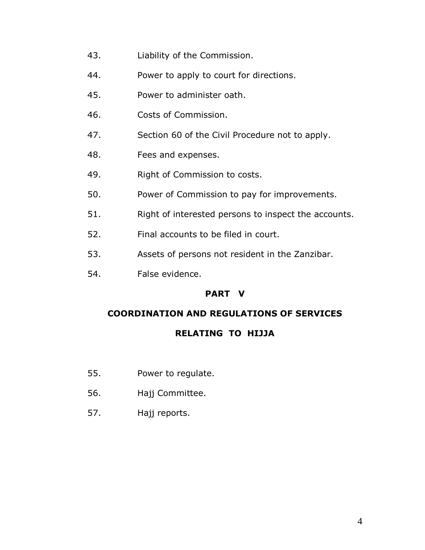- 43. Liability of the Commission.
- 44. Power to apply to court for directions.
- 45. Power to administer oath.
- 46. Costs of Commission.
- 47. Section 60 of the Civil Procedure not to apply.
- 48. Fees and expenses.
- 49. Right of Commission to costs.
- 50. Power of Commission to pay for improvements.
- 51. Right of interested persons to inspect the accounts.
- 52. Final accounts to be filed in court.
- 53. Assets of persons not resident in the Zanzibar.
- 54. False evidence.

## **PART V**

## **COORDINATION AND REGULATIONS OF SERVICES**

## **RELATING TO HIJJA**

- 55. Power to regulate.
- 56. Hajj Committee.
- 57. Hajj reports.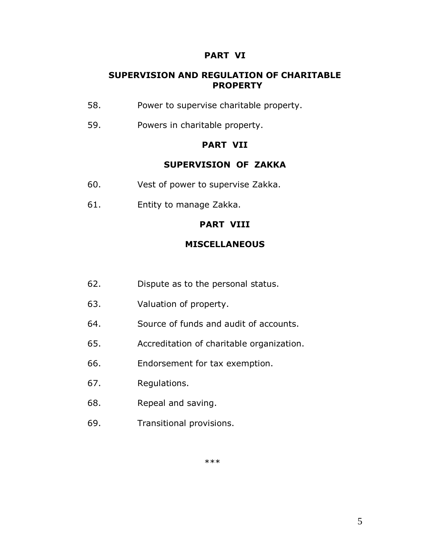#### **PART VI**

#### **SUPERVISION AND REGULATION OF CHARITABLE PROPERTY**

- 58. Power to supervise charitable property.
- 59. Powers in charitable property.

#### **PART VII**

#### **SUPERVISION OF ZAKKA**

- 60. Vest of power to supervise Zakka.
- 61. Entity to manage Zakka.

#### **PART VIII**

#### **MISCELLANEOUS**

- 62. Dispute as to the personal status.
- 63. Valuation of property.
- 64. Source of funds and audit of accounts.
- 65. Accreditation of charitable organization.
- 66. Endorsement for tax exemption.
- 67. Regulations.
- 68. Repeal and saving.
- 69. Transitional provisions.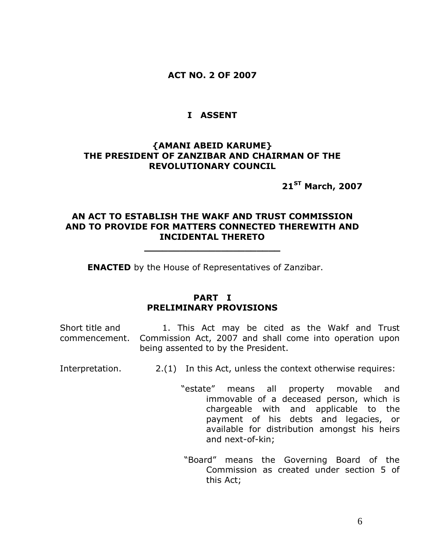#### **ACT NO. 2 OF 2007**

#### **I ASSENT**

#### **{AMANI ABEID KARUME} THE PRESIDENT OF ZANZIBAR AND CHAIRMAN OF THE REVOLUTIONARY COUNCIL**

**21ST March, 2007**

#### **AN ACT TO ESTABLISH THE WAKF AND TRUST COMMISSION AND TO PROVIDE FOR MATTERS CONNECTED THEREWITH AND INCIDENTAL THERETO**

**\_\_\_\_\_\_\_\_\_\_\_\_\_\_\_\_\_\_\_\_\_\_\_** 

**ENACTED** by the House of Representatives of Zanzibar.

#### **PART I PRELIMINARY PROVISIONS**

Short title and commencement. 1. This Act may be cited as the Wakf and Trust Commission Act, 2007 and shall come into operation upon being assented to by the President.

- Interpretation. 2.(1) In this Act, unless the context otherwise requires:
	- "estate" means all property movable and immovable of a deceased person, which is chargeable with and applicable to the payment of his debts and legacies, or available for distribution amongst his heirs and next-of-kin;
	- "Board" means the Governing Board of the Commission as created under section 5 of this Act;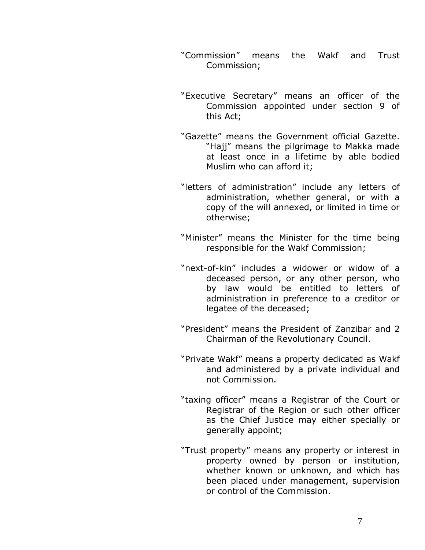"Commission" means the Wakf and Trust Commission;

- "Executive Secretary" means an officer of the Commission appointed under section 9 of this Act;
- "Gazette" means the Government official Gazette. "Hajj" means the pilgrimage to Makka made at least once in a lifetime by able bodied Muslim who can afford it;
- "letters of administration" include any letters of administration, whether general, or with a copy of the will annexed, or limited in time or otherwise;
- "Minister" means the Minister for the time being responsible for the Wakf Commission;
- "next-of-kin" includes a widower or widow of a deceased person, or any other person, who by law would be entitled to letters of administration in preference to a creditor or legatee of the deceased;
- "President" means the President of Zanzibar and 2 Chairman of the Revolutionary Council.
- "Private Wakf" means a property dedicated as Wakf and administered by a private individual and not Commission.
- "taxing officer" means a Registrar of the Court or Registrar of the Region or such other officer as the Chief Justice may either specially or generally appoint;
- "Trust property" means any property or interest in property owned by person or institution, whether known or unknown, and which has been placed under management, supervision or control of the Commission.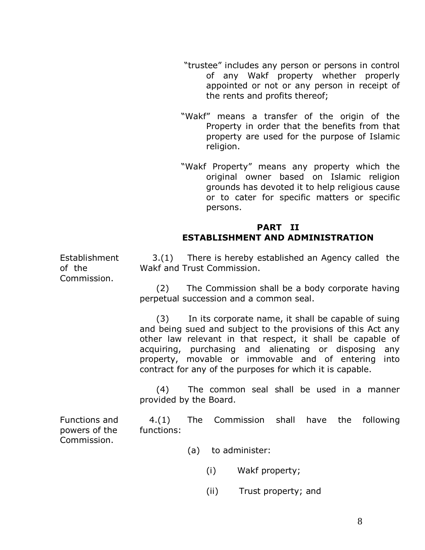- "trustee" includes any person or persons in control of any Wakf property whether properly appointed or not or any person in receipt of the rents and profits thereof;
- "Wakf" means a transfer of the origin of the Property in order that the benefits from that property are used for the purpose of Islamic religion.
- "Wakf Property" means any property which the original owner based on Islamic religion grounds has devoted it to help religious cause or to cater for specific matters or specific persons.

#### **PART II ESTABLISHMENT AND ADMINISTRATION**

Establishment of the Commission. 3.(1) There is hereby established an Agency called the Wakf and Trust Commission.

> (2) The Commission shall be a body corporate having perpetual succession and a common seal.

> (3) In its corporate name, it shall be capable of suing and being sued and subject to the provisions of this Act any other law relevant in that respect, it shall be capable of acquiring, purchasing and alienating or disposing any property, movable or immovable and of entering into contract for any of the purposes for which it is capable.

> (4) The common seal shall be used in a manner provided by the Board.

Functions and powers of the Commission. 4.(1) The Commission shall have the following functions:

- (a) to administer:
	- (i) Wakf property;
	- (ii) Trust property; and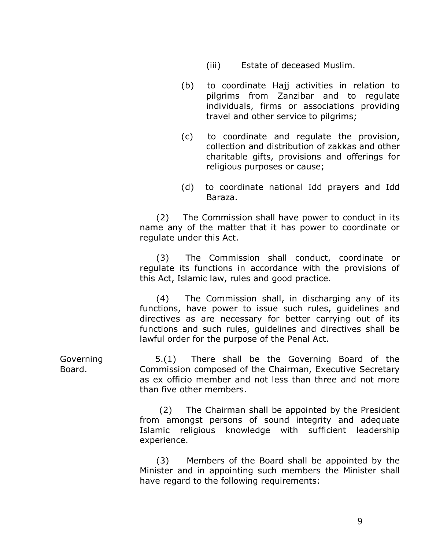- (iii) Estate of deceased Muslim.
- (b) to coordinate Hajj activities in relation to pilgrims from Zanzibar and to regulate individuals, firms or associations providing travel and other service to pilgrims;
- (c) to coordinate and regulate the provision, collection and distribution of zakkas and other charitable gifts, provisions and offerings for religious purposes or cause;
- (d) to coordinate national Idd prayers and Idd Baraza.

(2) The Commission shall have power to conduct in its name any of the matter that it has power to coordinate or regulate under this Act.

(3) The Commission shall conduct, coordinate or regulate its functions in accordance with the provisions of this Act, Islamic law, rules and good practice.

(4) The Commission shall, in discharging any of its functions, have power to issue such rules, guidelines and directives as are necessary for better carrying out of its functions and such rules, guidelines and directives shall be lawful order for the purpose of the Penal Act.

Governing Board. 5.(1) There shall be the Governing Board of the Commission composed of the Chairman, Executive Secretary as ex officio member and not less than three and not more than five other members.

> (2) The Chairman shall be appointed by the President from amongst persons of sound integrity and adequate Islamic religious knowledge with sufficient leadership experience.

> (3) Members of the Board shall be appointed by the Minister and in appointing such members the Minister shall have regard to the following requirements: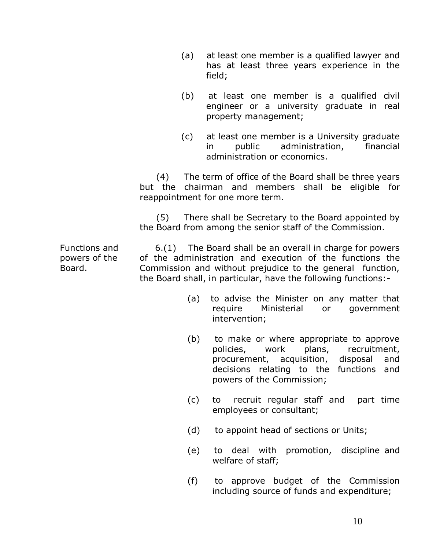- (a) at least one member is a qualified lawyer and has at least three years experience in the field;
- (b) at least one member is a qualified civil engineer or a university graduate in real property management;
- (c) at least one member is a University graduate in public administration, financial administration or economics.

(4) The term of office of the Board shall be three years but the chairman and members shall be eligible for reappointment for one more term.

(5) There shall be Secretary to the Board appointed by the Board from among the senior staff of the Commission.

 6.(1) The Board shall be an overall in charge for powers of the administration and execution of the functions the Commission and without prejudice to the general function, the Board shall, in particular, have the following functions:-

- (a) to advise the Minister on any matter that require Ministerial or government intervention;
- (b) to make or where appropriate to approve policies, work plans, recruitment, procurement, acquisition, disposal and decisions relating to the functions and powers of the Commission;
- (c) to recruit regular staff and part time employees or consultant;
- (d) to appoint head of sections or Units;
- (e) to deal with promotion, discipline and welfare of staff;
- (f) to approve budget of the Commission including source of funds and expenditure;

Functions and powers of the Board.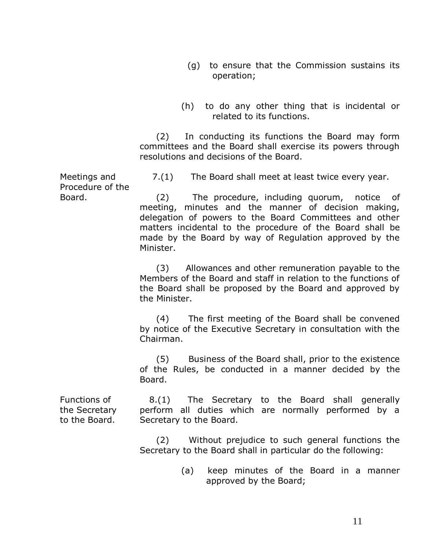- (g) to ensure that the Commission sustains its operation;
- (h) to do any other thing that is incidental or related to its functions.

(2) In conducting its functions the Board may form committees and the Board shall exercise its powers through resolutions and decisions of the Board.

Meetings and Procedure of the Board. 7.(1) The Board shall meet at least twice every year. (2) The procedure, including quorum, notice of

meeting, minutes and the manner of decision making, delegation of powers to the Board Committees and other matters incidental to the procedure of the Board shall be made by the Board by way of Regulation approved by the Minister.

(3) Allowances and other remuneration payable to the Members of the Board and staff in relation to the functions of the Board shall be proposed by the Board and approved by the Minister.

(4) The first meeting of the Board shall be convened by notice of the Executive Secretary in consultation with the Chairman.

(5) Business of the Board shall, prior to the existence of the Rules, be conducted in a manner decided by the Board.

Functions of the Secretary to the Board.

 8.(1) The Secretary to the Board shall generally perform all duties which are normally performed by a Secretary to the Board.

(2) Without prejudice to such general functions the Secretary to the Board shall in particular do the following:

> (a) keep minutes of the Board in a manner approved by the Board;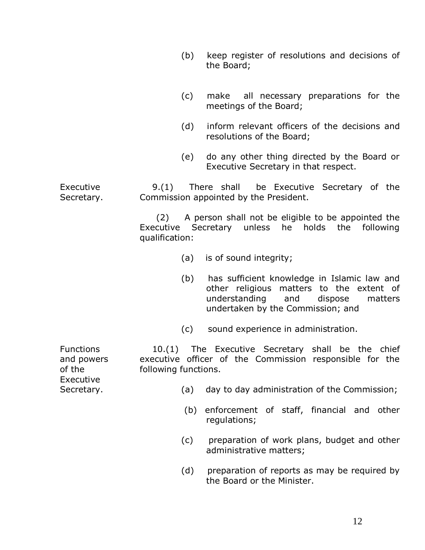- (b) keep register of resolutions and decisions of the Board;
- (c) make all necessary preparations for the meetings of the Board;
- (d) inform relevant officers of the decisions and resolutions of the Board;
- (e) do any other thing directed by the Board or Executive Secretary in that respect.

Executive Secretary. 9.(1) There shall be Executive Secretary of the Commission appointed by the President.

> (2) A person shall not be eligible to be appointed the Executive Secretary unless he holds the following qualification:

- (a) is of sound integrity;
- (b) has sufficient knowledge in Islamic law and other religious matters to the extent of understanding and dispose matters undertaken by the Commission; and
- (c) sound experience in administration.

**Functions** and powers of the Executive Secretary.

 10.(1) The Executive Secretary shall be the chief executive officer of the Commission responsible for the following functions.

- (a) day to day administration of the Commission;
- (b) enforcement of staff, financial and other regulations;
- (c) preparation of work plans, budget and other administrative matters;
- (d) preparation of reports as may be required by the Board or the Minister.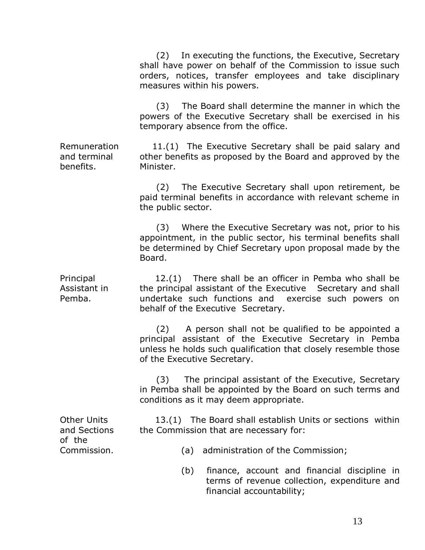(2) In executing the functions, the Executive, Secretary shall have power on behalf of the Commission to issue such orders, notices, transfer employees and take disciplinary measures within his powers.

(3) The Board shall determine the manner in which the powers of the Executive Secretary shall be exercised in his temporary absence from the office.

Remuneration and terminal benefits.

Commission.

 11.(1) The Executive Secretary shall be paid salary and other benefits as proposed by the Board and approved by the Minister.

(2) The Executive Secretary shall upon retirement, be paid terminal benefits in accordance with relevant scheme in the public sector.

(3) Where the Executive Secretary was not, prior to his appointment, in the public sector, his terminal benefits shall be determined by Chief Secretary upon proposal made by the Board.

Principal Assistant in Pemba. 12.(1) There shall be an officer in Pemba who shall be the principal assistant of the Executive Secretary and shall undertake such functions and exercise such powers on behalf of the Executive Secretary.

> (2) A person shall not be qualified to be appointed a principal assistant of the Executive Secretary in Pemba unless he holds such qualification that closely resemble those of the Executive Secretary.

> (3) The principal assistant of the Executive, Secretary in Pemba shall be appointed by the Board on such terms and conditions as it may deem appropriate.

Other Units and Sections of the 13.(1) The Board shall establish Units or sections within the Commission that are necessary for:

- (a) administration of the Commission;
- (b) finance, account and financial discipline in terms of revenue collection, expenditure and financial accountability;

13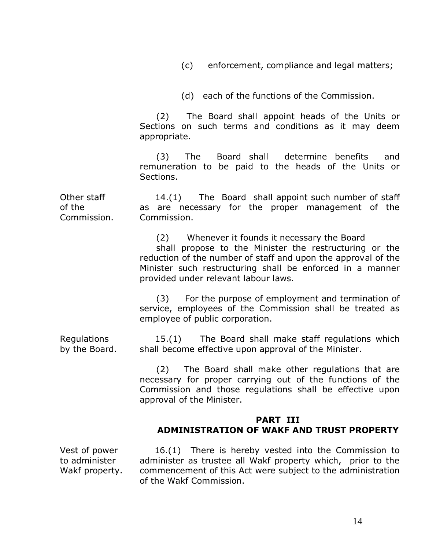(c) enforcement, compliance and legal matters;

(d) each of the functions of the Commission.

(2) The Board shall appoint heads of the Units or Sections on such terms and conditions as it may deem appropriate.

(3) The Board shall determine benefits and remuneration to be paid to the heads of the Units or Sections.

Other staff of the Commission.

 14.(1) The Board shall appoint such number of staff as are necessary for the proper management of the Commission.

(2) Whenever it founds it necessary the Board

shall propose to the Minister the restructuring or the reduction of the number of staff and upon the approval of the Minister such restructuring shall be enforced in a manner provided under relevant labour laws.

(3) For the purpose of employment and termination of service, employees of the Commission shall be treated as employee of public corporation.

Regulations by the Board. 15.(1) The Board shall make staff regulations which shall become effective upon approval of the Minister.

> (2) The Board shall make other regulations that are necessary for proper carrying out of the functions of the Commission and those regulations shall be effective upon approval of the Minister.

#### **PART III ADMINISTRATION OF WAKF AND TRUST PROPERTY**

Vest of power to administer Wakf property.

 16.(1) There is hereby vested into the Commission to administer as trustee all Wakf property which, prior to the commencement of this Act were subject to the administration of the Wakf Commission.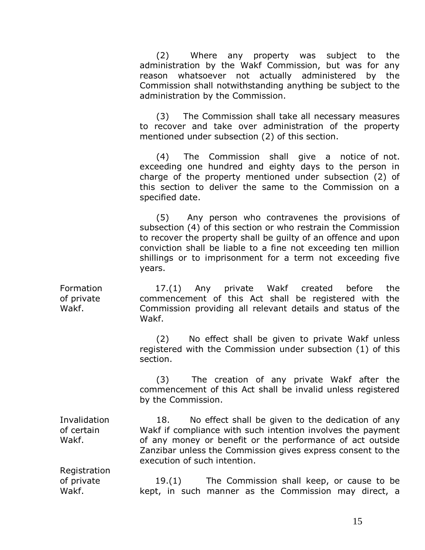(2) Where any property was subject to the administration by the Wakf Commission, but was for any reason whatsoever not actually administered by the Commission shall notwithstanding anything be subject to the administration by the Commission.

(3) The Commission shall take all necessary measures to recover and take over administration of the property mentioned under subsection (2) of this section.

(4) The Commission shall give a notice of not. exceeding one hundred and eighty days to the person in charge of the property mentioned under subsection (2) of this section to deliver the same to the Commission on a specified date.

(5) Any person who contravenes the provisions of subsection (4) of this section or who restrain the Commission to recover the property shall be guilty of an offence and upon conviction shall be liable to a fine not exceeding ten million shillings or to imprisonment for a term not exceeding five years.

Formation of private Wakf. 17.(1) Any private Wakf created before the commencement of this Act shall be registered with the Commission providing all relevant details and status of the Wakf.

> (2) No effect shall be given to private Wakf unless registered with the Commission under subsection (1) of this section.

> (3) The creation of any private Wakf after the commencement of this Act shall be invalid unless registered by the Commission.

**Invalidation** of certain Wakf. 18. No effect shall be given to the dedication of any Wakf if compliance with such intention involves the payment of any money or benefit or the performance of act outside Zanzibar unless the Commission gives express consent to the execution of such intention.

Registration of private Wakf.

 19.(1) The Commission shall keep, or cause to be kept, in such manner as the Commission may direct, a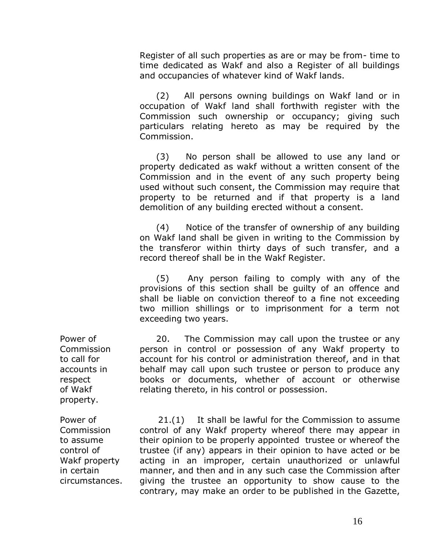Register of all such properties as are or may be from- time to time dedicated as Wakf and also a Register of all buildings and occupancies of whatever kind of Wakf lands.

(2) All persons owning buildings on Wakf land or in occupation of Wakf land shall forthwith register with the Commission such ownership or occupancy; giving such particulars relating hereto as may be required by the Commission.

(3) No person shall be allowed to use any land or property dedicated as wakf without a written consent of the Commission and in the event of any such property being used without such consent, the Commission may require that property to be returned and if that property is a land demolition of any building erected without a consent.

(4) Notice of the transfer of ownership of any building on Wakf land shall be given in writing to the Commission by the transferor within thirty days of such transfer, and a record thereof shall be in the Wakf Register.

(5) Any person failing to comply with any of the provisions of this section shall be guilty of an offence and shall be liable on conviction thereof to a fine not exceeding two million shillings or to imprisonment for a term not exceeding two years.

20. The Commission may call upon the trustee or any person in control or possession of any Wakf property to account for his control or administration thereof, and in that behalf may call upon such trustee or person to produce any books or documents, whether of account or otherwise relating thereto, in his control or possession.

Power of Commission to assume control of Wakf property in certain circumstances.

Power of **Commission** to call for accounts in respect of Wakf property.

> 21.(1) It shall be lawful for the Commission to assume control of any Wakf property whereof there may appear in their opinion to be properly appointed trustee or whereof the trustee (if any) appears in their opinion to have acted or be acting in an improper, certain unauthorized or unlawful manner, and then and in any such case the Commission after giving the trustee an opportunity to show cause to the contrary, may make an order to be published in the Gazette,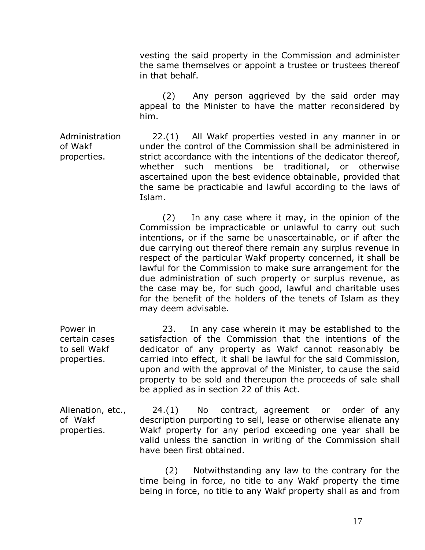vesting the said property in the Commission and administer the same themselves or appoint a trustee or trustees thereof in that behalf.

(2) Any person aggrieved by the said order may appeal to the Minister to have the matter reconsidered by him.

Administration of Wakf properties.

 22.(1) All Wakf properties vested in any manner in or under the control of the Commission shall be administered in strict accordance with the intentions of the dedicator thereof, whether such mentions be traditional, or otherwise ascertained upon the best evidence obtainable, provided that the same be practicable and lawful according to the laws of Islam.

(2) In any case where it may, in the opinion of the Commission be impracticable or unlawful to carry out such intentions, or if the same be unascertainable, or if after the due carrying out thereof there remain any surplus revenue in respect of the particular Wakf property concerned, it shall be lawful for the Commission to make sure arrangement for the due administration of such property or surplus revenue, as the case may be, for such good, lawful and charitable uses for the benefit of the holders of the tenets of Islam as they may deem advisable.

Power in certain cases to sell Wakf properties. 23. In any case wherein it may be established to the satisfaction of the Commission that the intentions of the dedicator of any property as Wakf cannot reasonably be carried into effect, it shall be lawful for the said Commission, upon and with the approval of the Minister, to cause the said property to be sold and thereupon the proceeds of sale shall be applied as in section 22 of this Act.

Alienation, etc., of Wakf properties. 24.(1) No contract, agreement or order of any description purporting to sell, lease or otherwise alienate any Wakf property for any period exceeding one year shall be valid unless the sanction in writing of the Commission shall have been first obtained.

> (2) Notwithstanding any law to the contrary for the time being in force, no title to any Wakf property the time being in force, no title to any Wakf property shall as and from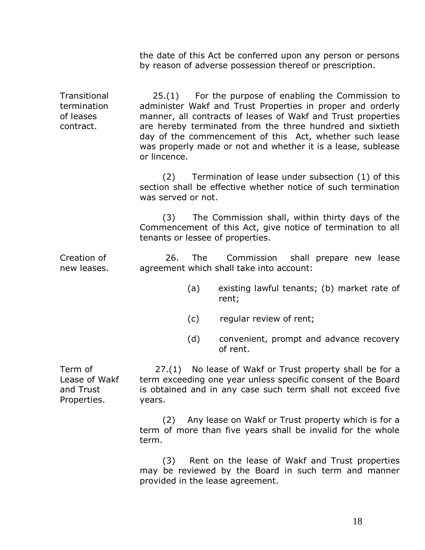the date of this Act be conferred upon any person or persons by reason of adverse possession thereof or prescription.

**Transitional** termination of leases contract.

 25.(1) For the purpose of enabling the Commission to administer Wakf and Trust Properties in proper and orderly manner, all contracts of leases of Wakf and Trust properties are hereby terminated from the three hundred and sixtieth day of the commencement of this Act, whether such lease was properly made or not and whether it is a lease, sublease or lincence.

(2) Termination of lease under subsection (1) of this section shall be effective whether notice of such termination was served or not.

(3) The Commission shall, within thirty days of the Commencement of this Act, give notice of termination to all tenants or lessee of properties.

Creation of new leases. 26. The Commission shall prepare new lease agreement which shall take into account:

- (a) existing lawful tenants; (b) market rate of rent;
- (c) regular review of rent;
- (d) convenient, prompt and advance recovery of rent.

Term of Lease of Wakf and Trust Properties.

 27.(1) No lease of Wakf or Trust property shall be for a term exceeding one year unless specific consent of the Board is obtained and in any case such term shall not exceed five years.

(2) Any lease on Wakf or Trust property which is for a term of more than five years shall be invalid for the whole term.

(3) Rent on the lease of Wakf and Trust properties may be reviewed by the Board in such term and manner provided in the lease agreement.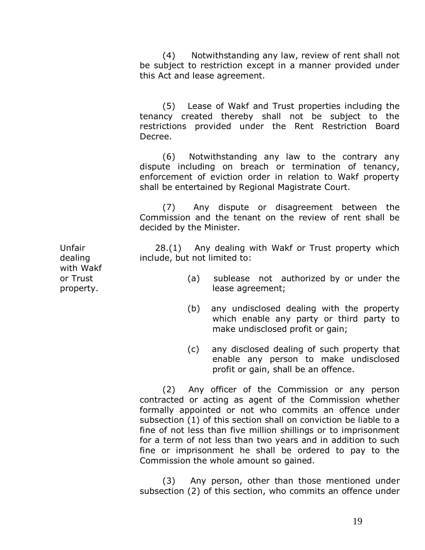(4) Notwithstanding any law, review of rent shall not be subject to restriction except in a manner provided under this Act and lease agreement.

(5) Lease of Wakf and Trust properties including the tenancy created thereby shall not be subject to the restrictions provided under the Rent Restriction Board Decree.

(6) Notwithstanding any law to the contrary any dispute including on breach or termination of tenancy, enforcement of eviction order in relation to Wakf property shall be entertained by Regional Magistrate Court.

(7) Any dispute or disagreement between the Commission and the tenant on the review of rent shall be decided by the Minister.

 28.(1) Any dealing with Wakf or Trust property which include, but not limited to:

- (a) sublease not authorized by or under the lease agreement;
- (b) any undisclosed dealing with the property which enable any party or third party to make undisclosed profit or gain;
- (c) any disclosed dealing of such property that enable any person to make undisclosed profit or gain, shall be an offence.

(2) Any officer of the Commission or any person contracted or acting as agent of the Commission whether formally appointed or not who commits an offence under subsection (1) of this section shall on conviction be liable to a fine of not less than five million shillings or to imprisonment for a term of not less than two years and in addition to such fine or imprisonment he shall be ordered to pay to the Commission the whole amount so gained.

(3) Any person, other than those mentioned under subsection (2) of this section, who commits an offence under

Unfair dealing with Wakf or Trust property.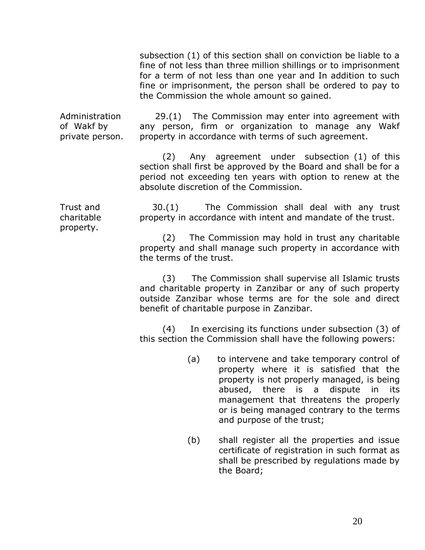subsection (1) of this section shall on conviction be liable to a fine of not less than three million shillings or to imprisonment for a term of not less than one year and In addition to such fine or imprisonment, the person shall be ordered to pay to the Commission the whole amount so gained.

Administration of Wakf by private person.

 29.(1) The Commission may enter into agreement with any person, firm or organization to manage any Wakf property in accordance with terms of such agreement.

(2) Any agreement under subsection (1) of this section shall first be approved by the Board and shall be for a period not exceeding ten years with option to renew at the absolute discretion of the Commission.

Trust and charitable property.

 30.(1) The Commission shall deal with any trust property in accordance with intent and mandate of the trust.

(2) The Commission may hold in trust any charitable property and shall manage such property in accordance with the terms of the trust.

(3) The Commission shall supervise all Islamic trusts and charitable property in Zanzibar or any of such property outside Zanzibar whose terms are for the sole and direct benefit of charitable purpose in Zanzibar.

(4) In exercising its functions under subsection (3) of this section the Commission shall have the following powers:

- (a) to intervene and take temporary control of property where it is satisfied that the property is not properly managed, is being abused, there is a dispute in its management that threatens the properly or is being managed contrary to the terms and purpose of the trust;
- (b) shall register all the properties and issue certificate of registration in such format as shall be prescribed by regulations made by the Board;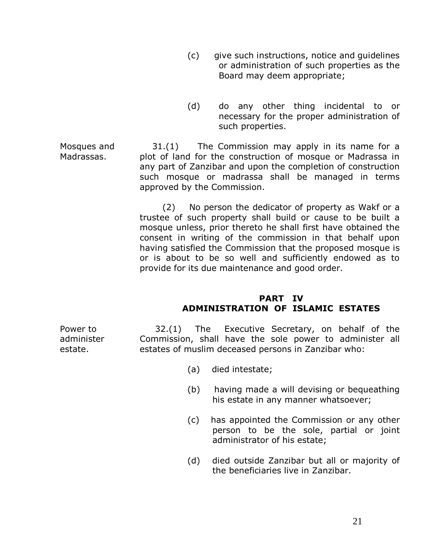- (c) give such instructions, notice and guidelines or administration of such properties as the Board may deem appropriate;
- (d) do any other thing incidental to or necessary for the proper administration of such properties.

 31.(1) The Commission may apply in its name for a plot of land for the construction of mosque or Madrassa in any part of Zanzibar and upon the completion of construction such mosque or madrassa shall be managed in terms approved by the Commission.

(2) No person the dedicator of property as Wakf or a trustee of such property shall build or cause to be built a mosque unless, prior thereto he shall first have obtained the consent in writing of the commission in that behalf upon having satisfied the Commission that the proposed mosque is or is about to be so well and sufficiently endowed as to provide for its due maintenance and good order.

#### **PART IV ADMINISTRATION OF ISLAMIC ESTATES**

Power to administer estate. 32.(1) The Executive Secretary, on behalf of the Commission, shall have the sole power to administer all estates of muslim deceased persons in Zanzibar who:

- (a) died intestate;
- (b) having made a will devising or bequeathing his estate in any manner whatsoever;
- (c) has appointed the Commission or any other person to be the sole, partial or joint administrator of his estate;
- (d) died outside Zanzibar but all or majority of the beneficiaries live in Zanzibar.

Mosques and Madrassas.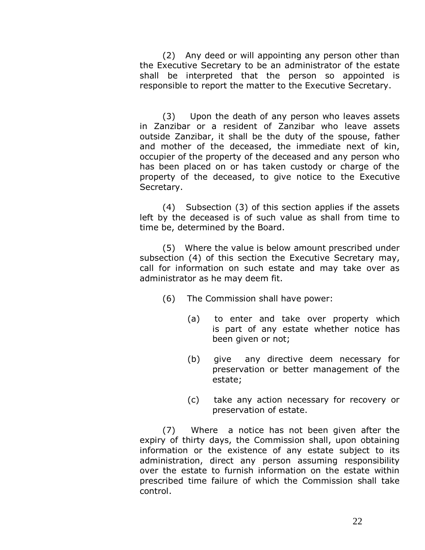(2) Any deed or will appointing any person other than the Executive Secretary to be an administrator of the estate shall be interpreted that the person so appointed is responsible to report the matter to the Executive Secretary.

(3) Upon the death of any person who leaves assets in Zanzibar or a resident of Zanzibar who leave assets outside Zanzibar, it shall be the duty of the spouse, father and mother of the deceased, the immediate next of kin, occupier of the property of the deceased and any person who has been placed on or has taken custody or charge of the property of the deceased, to give notice to the Executive Secretary.

(4) Subsection (3) of this section applies if the assets left by the deceased is of such value as shall from time to time be, determined by the Board.

(5) Where the value is below amount prescribed under subsection (4) of this section the Executive Secretary may, call for information on such estate and may take over as administrator as he may deem fit.

- (6) The Commission shall have power:
	- (a) to enter and take over property which is part of any estate whether notice has been given or not;
	- (b) give any directive deem necessary for preservation or better management of the estate;
	- (c) take any action necessary for recovery or preservation of estate.

(7) Where a notice has not been given after the expiry of thirty days, the Commission shall, upon obtaining information or the existence of any estate subject to its administration, direct any person assuming responsibility over the estate to furnish information on the estate within prescribed time failure of which the Commission shall take control.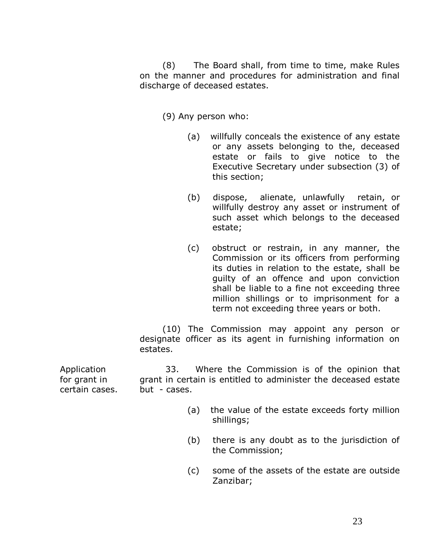(8) The Board shall, from time to time, make Rules on the manner and procedures for administration and final discharge of deceased estates.

(9) Any person who:

- (a) willfully conceals the existence of any estate or any assets belonging to the, deceased estate or fails to give notice to the Executive Secretary under subsection (3) of this section;
- (b) dispose, alienate, unlawfully retain, or willfully destroy any asset or instrument of such asset which belongs to the deceased estate;
- (c) obstruct or restrain, in any manner, the Commission or its officers from performing its duties in relation to the estate, shall be guilty of an offence and upon conviction shall be liable to a fine not exceeding three million shillings or to imprisonment for a term not exceeding three years or both.

(10) The Commission may appoint any person or designate officer as its agent in furnishing information on estates.

33. Where the Commission is of the opinion that grant in certain is entitled to administer the deceased estate but - cases.

- (a) the value of the estate exceeds forty million shillings;
- (b) there is any doubt as to the jurisdiction of the Commission;
- (c) some of the assets of the estate are outside Zanzibar;

Application for grant in certain cases.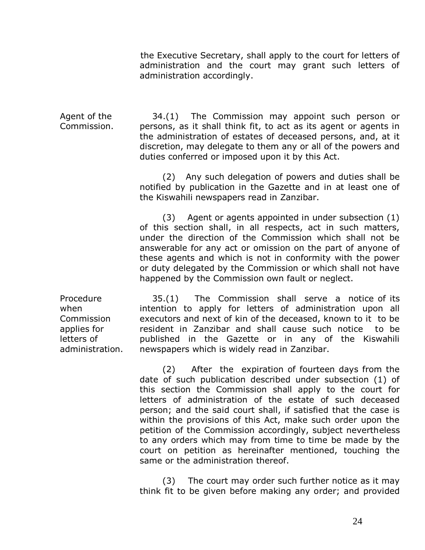the Executive Secretary, shall apply to the court for letters of administration and the court may grant such letters of administration accordingly.

#### Agent of the Commission.

 34.(1) The Commission may appoint such person or persons, as it shall think fit, to act as its agent or agents in the administration of estates of deceased persons, and, at it discretion, may delegate to them any or all of the powers and duties conferred or imposed upon it by this Act.

(2) Any such delegation of powers and duties shall be notified by publication in the Gazette and in at least one of the Kiswahili newspapers read in Zanzibar.

(3) Agent or agents appointed in under subsection (1) of this section shall, in all respects, act in such matters, under the direction of the Commission which shall not be answerable for any act or omission on the part of anyone of these agents and which is not in conformity with the power or duty delegated by the Commission or which shall not have happened by the Commission own fault or neglect.

Procedure when Commission applies for letters of administration.

 35.(1) The Commission shall serve a notice of its intention to apply for letters of administration upon all executors and next of kin of the deceased, known to it to be resident in Zanzibar and shall cause such notice to be published in the Gazette or in any of the Kiswahili newspapers which is widely read in Zanzibar.

(2) After the expiration of fourteen days from the date of such publication described under subsection (1) of this section the Commission shall apply to the court for letters of administration of the estate of such deceased person; and the said court shall, if satisfied that the case is within the provisions of this Act, make such order upon the petition of the Commission accordingly, subject nevertheless to any orders which may from time to time be made by the court on petition as hereinafter mentioned, touching the same or the administration thereof.

(3) The court may order such further notice as it may think fit to be given before making any order; and provided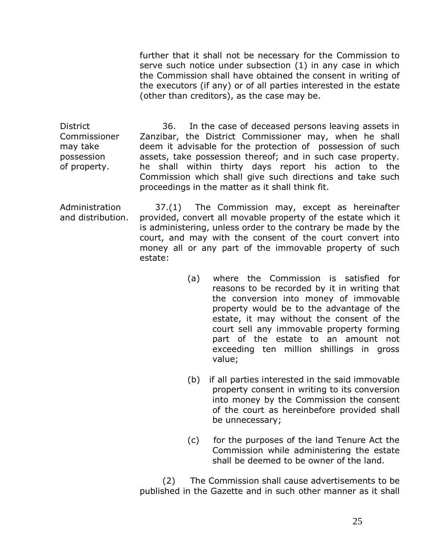further that it shall not be necessary for the Commission to serve such notice under subsection (1) in any case in which the Commission shall have obtained the consent in writing of the executors (if any) or of all parties interested in the estate (other than creditors), as the case may be.

**District** Commissioner may take possession of property.

36. In the case of deceased persons leaving assets in Zanzibar, the District Commissioner may, when he shall deem it advisable for the protection of possession of such assets, take possession thereof; and in such case property. he shall within thirty days report his action to the Commission which shall give such directions and take such proceedings in the matter as it shall think fit.

Administration and distribution. 37.(1) The Commission may, except as hereinafter provided, convert all movable property of the estate which it is administering, unless order to the contrary be made by the court, and may with the consent of the court convert into money all or any part of the immovable property of such estate:

- (a) where the Commission is satisfied for reasons to be recorded by it in writing that the conversion into money of immovable property would be to the advantage of the estate, it may without the consent of the court sell any immovable property forming part of the estate to an amount not exceeding ten million shillings in gross value;
- (b) if all parties interested in the said immovable property consent in writing to its conversion into money by the Commission the consent of the court as hereinbefore provided shall be unnecessary;
- (c) for the purposes of the land Tenure Act the Commission while administering the estate shall be deemed to be owner of the land.

(2) The Commission shall cause advertisements to be published in the Gazette and in such other manner as it shall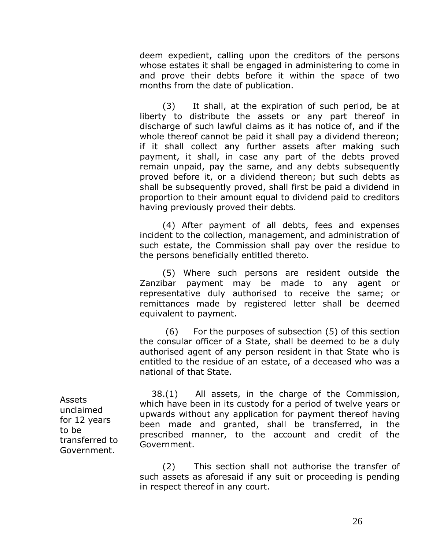deem expedient, calling upon the creditors of the persons whose estates it shall be engaged in administering to come in and prove their debts before it within the space of two months from the date of publication.

(3) It shall, at the expiration of such period, be at liberty to distribute the assets or any part thereof in discharge of such lawful claims as it has notice of, and if the whole thereof cannot be paid it shall pay a dividend thereon; if it shall collect any further assets after making such payment, it shall, in case any part of the debts proved remain unpaid, pay the same, and any debts subsequently proved before it, or a dividend thereon; but such debts as shall be subsequently proved, shall first be paid a dividend in proportion to their amount equal to dividend paid to creditors having previously proved their debts.

(4) After payment of all debts, fees and expenses incident to the collection, management, and administration of such estate, the Commission shall pay over the residue to the persons beneficially entitled thereto.

(5) Where such persons are resident outside the Zanzibar payment may be made to any agent or representative duly authorised to receive the same; or remittances made by registered letter shall be deemed equivalent to payment.

(6) For the purposes of subsection (5) of this section the consular officer of a State, shall be deemed to be a duly authorised agent of any person resident in that State who is entitled to the residue of an estate, of a deceased who was a national of that State.

Assets unclaimed for 12 years to be transferred to Government.

 38.(1) All assets, in the charge of the Commission, which have been in its custody for a period of twelve years or upwards without any application for payment thereof having been made and granted, shall be transferred, in the prescribed manner, to the account and credit of the Government.

(2) This section shall not authorise the transfer of such assets as aforesaid if any suit or proceeding is pending in respect thereof in any court.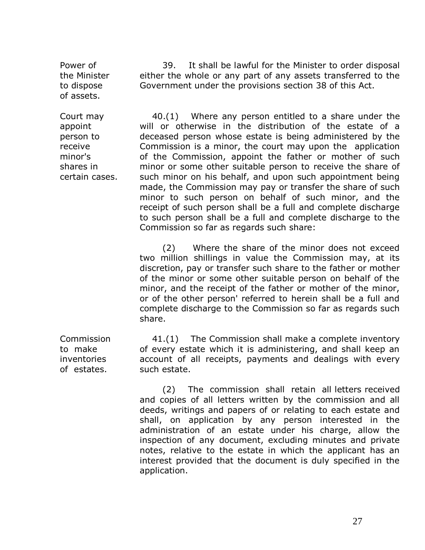Power of the Minister to dispose of assets.

Court may appoint person to receive minor's shares in certain cases.

39. It shall be lawful for the Minister to order disposal either the whole or any part of any assets transferred to the Government under the provisions section 38 of this Act.

 40.(1) Where any person entitled to a share under the will or otherwise in the distribution of the estate of a deceased person whose estate is being administered by the Commission is a minor, the court may upon the application of the Commission, appoint the father or mother of such minor or some other suitable person to receive the share of such minor on his behalf, and upon such appointment being made, the Commission may pay or transfer the share of such minor to such person on behalf of such minor, and the receipt of such person shall be a full and complete discharge to such person shall be a full and complete discharge to the Commission so far as regards such share:

(2) Where the share of the minor does not exceed two million shillings in value the Commission may, at its discretion, pay or transfer such share to the father or mother of the minor or some other suitable person on behalf of the minor, and the receipt of the father or mother of the minor, or of the other person' referred to herein shall be a full and complete discharge to the Commission so far as regards such share.

Commission to make inventories of estates.

 41.(1) The Commission shall make a complete inventory of every estate which it is administering, and shall keep an account of all receipts, payments and dealings with every such estate.

(2) The commission shall retain all letters received and copies of all letters written by the commission and all deeds, writings and papers of or relating to each estate and shall, on application by any person interested in the administration of an estate under his charge, allow the inspection of any document, excluding minutes and private notes, relative to the estate in which the applicant has an interest provided that the document is duly specified in the application.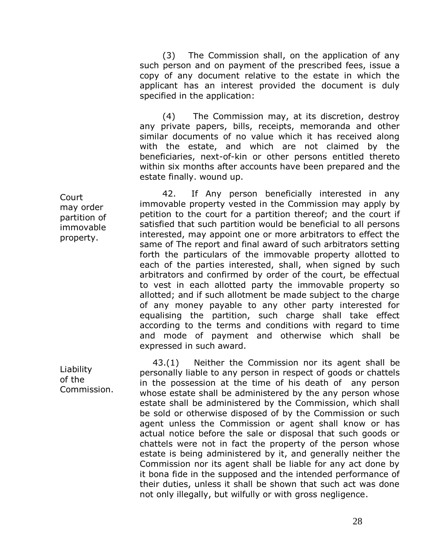(3) The Commission shall, on the application of any such person and on payment of the prescribed fees, issue a copy of any document relative to the estate in which the applicant has an interest provided the document is duly specified in the application:

(4) The Commission may, at its discretion, destroy any private papers, bills, receipts, memoranda and other similar documents of no value which it has received along with the estate, and which are not claimed by the beneficiaries, next-of-kin or other persons entitled thereto within six months after accounts have been prepared and the estate finally. wound up.

42. If Any person beneficially interested in any immovable property vested in the Commission may apply by petition to the court for a partition thereof; and the court if satisfied that such partition would be beneficial to all persons interested, may appoint one or more arbitrators to effect the same of The report and final award of such arbitrators setting forth the particulars of the immovable property allotted to each of the parties interested, shall, when signed by such arbitrators and confirmed by order of the court, be effectual to vest in each allotted party the immovable property so allotted; and if such allotment be made subject to the charge of any money payable to any other party interested for equalising the partition, such charge shall take effect according to the terms and conditions with regard to time and mode of payment and otherwise which shall be expressed in such award.

Commission. 43.(1) Neither the Commission nor its agent shall be personally liable to any person in respect of goods or chattels in the possession at the time of his death of any person whose estate shall be administered by the any person whose estate shall be administered by the Commission, which shall be sold or otherwise disposed of by the Commission or such agent unless the Commission or agent shall know or has actual notice before the sale or disposal that such goods or chattels were not in fact the property of the person whose estate is being administered by it, and generally neither the Commission nor its agent shall be liable for any act done by it bona fide in the supposed and the intended performance of their duties, unless it shall be shown that such act was done not only illegally, but wilfully or with gross negligence.

Court may order partition of immovable property.

Liability of the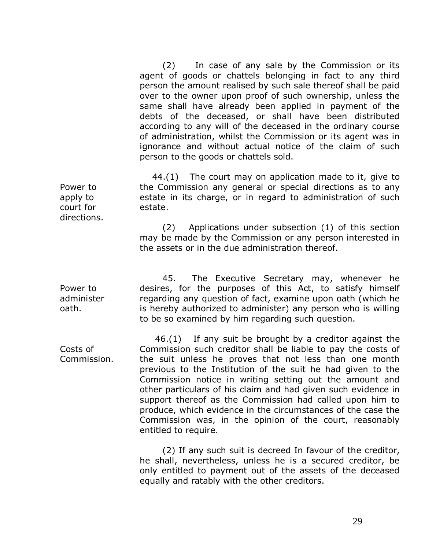(2) In case of any sale by the Commission or its agent of goods or chattels belonging in fact to any third person the amount realised by such sale thereof shall be paid over to the owner upon proof of such ownership, unless the same shall have already been applied in payment of the debts of the deceased, or shall have been distributed according to any will of the deceased in the ordinary course of administration, whilst the Commission or its agent was in ignorance and without actual notice of the claim of such person to the goods or chattels sold.

directions. 44.(1) The court may on application made to it, give to the Commission any general or special directions as to any estate in its charge, or in regard to administration of such estate.

> (2) Applications under subsection (1) of this section may be made by the Commission or any person interested in the assets or in the due administration thereof.

45. The Executive Secretary may, whenever he desires, for the purposes of this Act, to satisfy himself regarding any question of fact, examine upon oath (which he is hereby authorized to administer) any person who is willing to be so examined by him regarding such question.

Costs of Commission. 46.(1) If any suit be brought by a creditor against the Commission such creditor shall be liable to pay the costs of the suit unless he proves that not less than one month previous to the Institution of the suit he had given to the Commission notice in writing setting out the amount and other particulars of his claim and had given such evidence in support thereof as the Commission had called upon him to produce, which evidence in the circumstances of the case the Commission was, in the opinion of the court, reasonably entitled to require.

> (2) If any such suit is decreed In favour of the creditor, he shall, nevertheless, unless he is a secured creditor, be only entitled to payment out of the assets of the deceased equally and ratably with the other creditors.

Power to administer

oath.

Power to apply to court for

29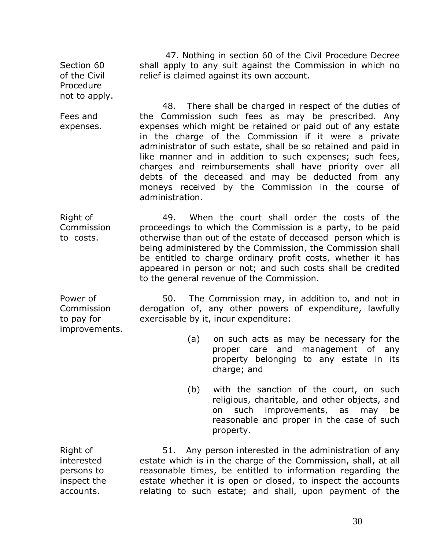Section 60 of the Civil Procedure not to apply.

Fees and

47. Nothing in section 60 of the Civil Procedure Decree shall apply to any suit against the Commission in which no relief is claimed against its own account.

expenses. 48. There shall be charged in respect of the duties of the Commission such fees as may be prescribed. Any expenses which might be retained or paid out of any estate in the charge of the Commission if it were a private administrator of such estate, shall be so retained and paid in like manner and in addition to such expenses; such fees, charges and reimbursements shall have priority over all debts of the deceased and may be deducted from any moneys received by the Commission in the course of administration.

Right of Commission to costs. 49. When the court shall order the costs of the proceedings to which the Commission is a party, to be paid otherwise than out of the estate of deceased person which is being administered by the Commission, the Commission shall be entitled to charge ordinary profit costs, whether it has appeared in person or not; and such costs shall be credited to the general revenue of the Commission.

Power of Commission to pay for improvements.

50. The Commission may, in addition to, and not in derogation of, any other powers of expenditure, lawfully exercisable by it, incur expenditure:

- (a) on such acts as may be necessary for the proper care and management of any property belonging to any estate in its charge; and
- (b) with the sanction of the court, on such religious, charitable, and other objects, and on such improvements, as may be reasonable and proper in the case of such property.

Right of interested persons to inspect the accounts.

51. Any person interested in the administration of any estate which is in the charge of the Commission, shall, at all reasonable times, be entitled to information regarding the estate whether it is open or closed, to inspect the accounts relating to such estate; and shall, upon payment of the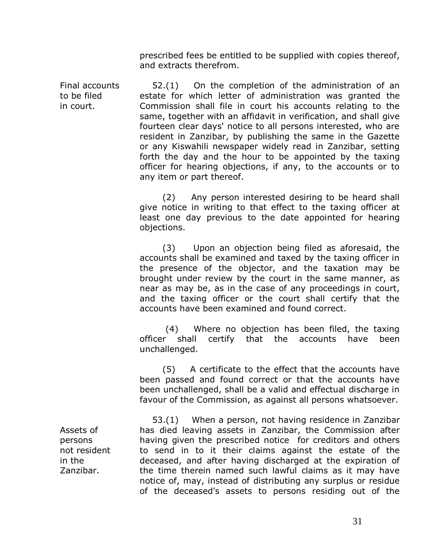prescribed fees be entitled to be supplied with copies thereof, and extracts therefrom.

Final accounts to be filed in court. 52.(1) On the completion of the administration of an estate for which letter of administration was granted the Commission shall file in court his accounts relating to the same, together with an affidavit in verification, and shall give fourteen clear days' notice to all persons interested, who are resident in Zanzibar, by publishing the same in the Gazette or any Kiswahili newspaper widely read in Zanzibar, setting forth the day and the hour to be appointed by the taxing officer for hearing objections, if any, to the accounts or to any item or part thereof.

> (2) Any person interested desiring to be heard shall give notice in writing to that effect to the taxing officer at least one day previous to the date appointed for hearing objections.

> (3) Upon an objection being filed as aforesaid, the accounts shall be examined and taxed by the taxing officer in the presence of the objector, and the taxation may be brought under review by the court in the same manner, as near as may be, as in the case of any proceedings in court, and the taxing officer or the court shall certify that the accounts have been examined and found correct.

> (4) Where no objection has been filed, the taxing officer shall certify that the accounts have been unchallenged.

> (5) A certificate to the effect that the accounts have been passed and found correct or that the accounts have been unchallenged, shall be a valid and effectual discharge in favour of the Commission, as against all persons whatsoever.

 53.(1) When a person, not having residence in Zanzibar has died leaving assets in Zanzibar, the Commission after having given the prescribed notice for creditors and others to send in to it their claims against the estate of the deceased, and after having discharged at the expiration of the time therein named such lawful claims as it may have notice of, may, instead of distributing any surplus or residue of the deceased's assets to persons residing out of the

Assets of persons not resident in the Zanzibar.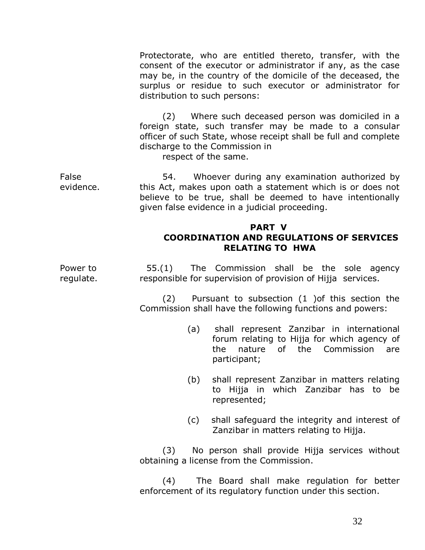Protectorate, who are entitled thereto, transfer, with the consent of the executor or administrator if any, as the case may be, in the country of the domicile of the deceased, the surplus or residue to such executor or administrator for distribution to such persons:

(2) Where such deceased person was domiciled in a foreign state, such transfer may be made to a consular officer of such State, whose receipt shall be full and complete discharge to the Commission in respect of the same.

False evidence. 54. Whoever during any examination authorized by this Act, makes upon oath a statement which is or does not believe to be true, shall be deemed to have intentionally given false evidence in a judicial proceeding.

#### **PART V COORDINATION AND REGULATIONS OF SERVICES RELATING TO HWA**

Power to regulate. 55.(1) The Commission shall be the sole agency responsible for supervision of provision of Hijja services.

> (2) Pursuant to subsection (1 )of this section the Commission shall have the following functions and powers:

- (a) shall represent Zanzibar in international forum relating to Hijja for which agency of the nature of the Commission are participant;
- (b) shall represent Zanzibar in matters relating to Hijja in which Zanzibar has to be represented;
- (c) shall safeguard the integrity and interest of Zanzibar in matters relating to Hijja.

(3) No person shall provide Hijja services without obtaining a license from the Commission.

(4) The Board shall make regulation for better enforcement of its regulatory function under this section.

32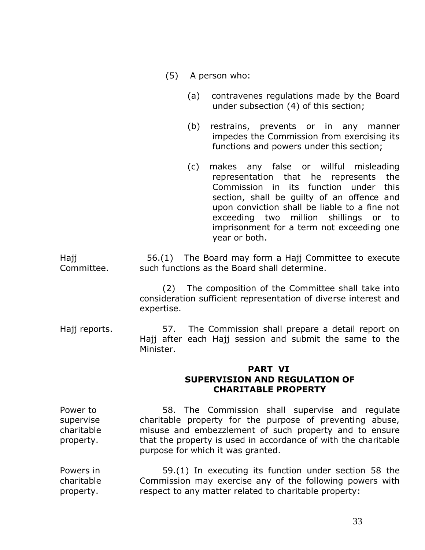- (5) A person who:
	- (a) contravenes regulations made by the Board under subsection (4) of this section;
	- (b) restrains, prevents or in any manner impedes the Commission from exercising its functions and powers under this section;
	- (c) makes any false or willful misleading representation that he represents the Commission in its function under this section, shall be guilty of an offence and upon conviction shall be liable to a fine not exceeding two million shillings or to imprisonment for a term not exceeding one year or both.
- Hajj Committee. 56.(1) The Board may form a Hajj Committee to execute such functions as the Board shall determine.

(2) The composition of the Committee shall take into consideration sufficient representation of diverse interest and expertise.

Hajj reports. 57. The Commission shall prepare a detail report on Hajj after each Hajj session and submit the same to the Minister.

#### **PART VI SUPERVISION AND REGULATION OF CHARITABLE PROPERTY**

Power to supervise charitable property. 58. The Commission shall supervise and regulate charitable property for the purpose of preventing abuse, misuse and embezzlement of such property and to ensure that the property is used in accordance of with the charitable purpose for which it was granted.

Powers in charitable property. 59.(1) In executing its function under section 58 the Commission may exercise any of the following powers with respect to any matter related to charitable property: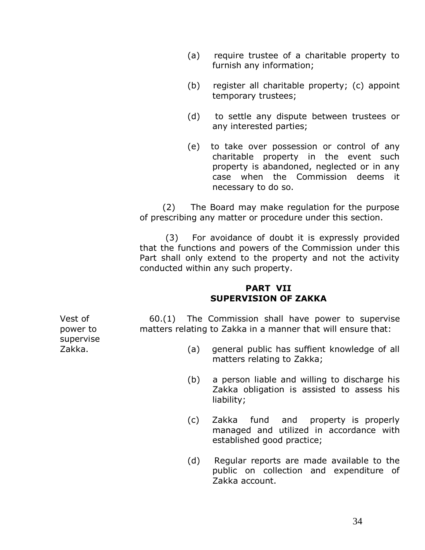- (a) require trustee of a charitable property to furnish any information;
- (b) register all charitable property; (c) appoint temporary trustees;
- (d) to settle any dispute between trustees or any interested parties;
- (e) to take over possession or control of any charitable property in the event such property is abandoned, neglected or in any case when the Commission deems it necessary to do so.

(2) The Board may make regulation for the purpose of prescribing any matter or procedure under this section.

(3) For avoidance of doubt it is expressly provided that the functions and powers of the Commission under this Part shall only extend to the property and not the activity conducted within any such property.

#### **PART VII SUPERVISION OF ZAKKA**

 60.(1) The Commission shall have power to supervise matters relating to Zakka in a manner that will ensure that:

- (a) general public has suffient knowledge of all matters relating to Zakka;
- (b) a person liable and willing to discharge his Zakka obligation is assisted to assess his liability;
- (c) Zakka fund and property is properly managed and utilized in accordance with established good practice;
- (d) Regular reports are made available to the public on collection and expenditure of Zakka account.

Vest of power to supervise Zakka.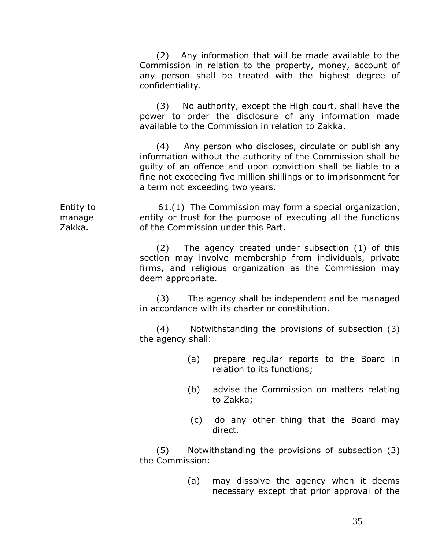(2) Any information that will be made available to the Commission in relation to the property, money, account of any person shall be treated with the highest degree of confidentiality.

(3) No authority, except the High court, shall have the power to order the disclosure of any information made available to the Commission in relation to Zakka.

(4) Any person who discloses, circulate or publish any information without the authority of the Commission shall be guilty of an offence and upon conviction shall be liable to a fine not exceeding five million shillings or to imprisonment for a term not exceeding two years.

Entity to manage Zakka.

 61.(1) The Commission may form a special organization, entity or trust for the purpose of executing all the functions of the Commission under this Part.

(2) The agency created under subsection (1) of this section may involve membership from individuals, private firms, and religious organization as the Commission may deem appropriate.

(3) The agency shall be independent and be managed in accordance with its charter or constitution.

(4) Notwithstanding the provisions of subsection (3) the agency shall:

- (a) prepare regular reports to the Board in relation to its functions;
- (b) advise the Commission on matters relating to Zakka;
- (c) do any other thing that the Board may direct.

(5) Notwithstanding the provisions of subsection (3) the Commission:

> (a) may dissolve the agency when it deems necessary except that prior approval of the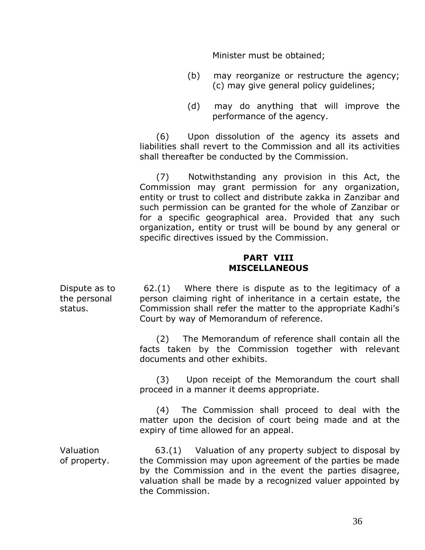Minister must be obtained;

- (b) may reorganize or restructure the agency; (c) may give general policy guidelines;
- (d) may do anything that will improve the performance of the agency.

(6) Upon dissolution of the agency its assets and liabilities shall revert to the Commission and all its activities shall thereafter be conducted by the Commission.

(7) Notwithstanding any provision in this Act, the Commission may grant permission for any organization, entity or trust to collect and distribute zakka in Zanzibar and such permission can be granted for the whole of Zanzibar or for a specific geographical area. Provided that any such organization, entity or trust will be bound by any general or specific directives issued by the Commission.

#### **PART VIII MISCELLANEOUS**

Dispute as to the personal status.

62.(1) Where there is dispute as to the legitimacy of a person claiming right of inheritance in a certain estate, the Commission shall refer the matter to the appropriate Kadhi's Court by way of Memorandum of reference.

(2) The Memorandum of reference shall contain all the facts taken by the Commission together with relevant documents and other exhibits.

(3) Upon receipt of the Memorandum the court shall proceed in a manner it deems appropriate.

(4) The Commission shall proceed to deal with the matter upon the decision of court being made and at the expiry of time allowed for an appeal.

Valuation of property.

 63.(1) Valuation of any property subject to disposal by the Commission may upon agreement of the parties be made by the Commission and in the event the parties disagree, valuation shall be made by a recognized valuer appointed by the Commission.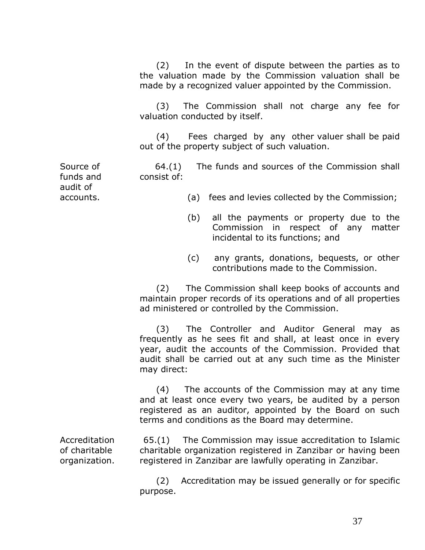(2) In the event of dispute between the parties as to the valuation made by the Commission valuation shall be made by a recognized valuer appointed by the Commission.

(3) The Commission shall not charge any fee for valuation conducted by itself.

(4) Fees charged by any other valuer shall be paid out of the property subject of such valuation.

 64.(1) The funds and sources of the Commission shall consist of:

- (a) fees and levies collected by the Commission;
- (b) all the payments or property due to the Commission in respect of any matter incidental to its functions; and
- (c) any grants, donations, bequests, or other contributions made to the Commission.

(2) The Commission shall keep books of accounts and maintain proper records of its operations and of all properties ad ministered or controlled by the Commission.

(3) The Controller and Auditor General may as frequently as he sees fit and shall, at least once in every year, audit the accounts of the Commission. Provided that audit shall be carried out at any such time as the Minister may direct:

(4) The accounts of the Commission may at any time and at least once every two years, be audited by a person registered as an auditor, appointed by the Board on such terms and conditions as the Board may determine.

Accreditation of charitable organization.

 65.(1) The Commission may issue accreditation to Islamic charitable organization registered in Zanzibar or having been registered in Zanzibar are lawfully operating in Zanzibar.

(2) Accreditation may be issued generally or for specific purpose.

Source of funds and audit of accounts.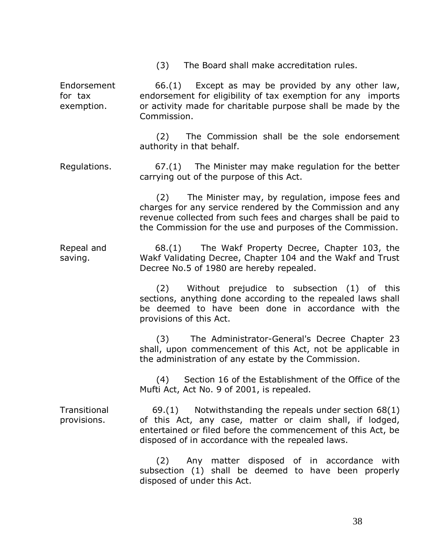(3) The Board shall make accreditation rules.

Endorsement for tax exemption. 66.(1) Except as may be provided by any other law, endorsement for eligibility of tax exemption for any imports or activity made for charitable purpose shall be made by the Commission.

> (2) The Commission shall be the sole endorsement authority in that behalf.

Regulations. 67.(1) The Minister may make regulation for the better carrying out of the purpose of this Act.

> (2) The Minister may, by regulation, impose fees and charges for any service rendered by the Commission and any revenue collected from such fees and charges shall be paid to the Commission for the use and purposes of the Commission.

Repeal and saving. 68.(1) The Wakf Property Decree, Chapter 103, the Wakf Validating Decree, Chapter 104 and the Wakf and Trust Decree No.5 of 1980 are hereby repealed.

> (2) Without prejudice to subsection (1) of this sections, anything done according to the repealed laws shall be deemed to have been done in accordance with the provisions of this Act.

> (3) The Administrator-General's Decree Chapter 23 shall, upon commencement of this Act, not be applicable in the administration of any estate by the Commission.

> (4) Section 16 of the Establishment of the Office of the Mufti Act, Act No. 9 of 2001, is repealed.

**Transitional** provisions. 69.(1) Notwithstanding the repeals under section 68(1) of this Act, any case, matter or claim shall, if lodged, entertained or filed before the commencement of this Act, be disposed of in accordance with the repealed laws.

> (2) Any matter disposed of in accordance with subsection (1) shall be deemed to have been properly disposed of under this Act.